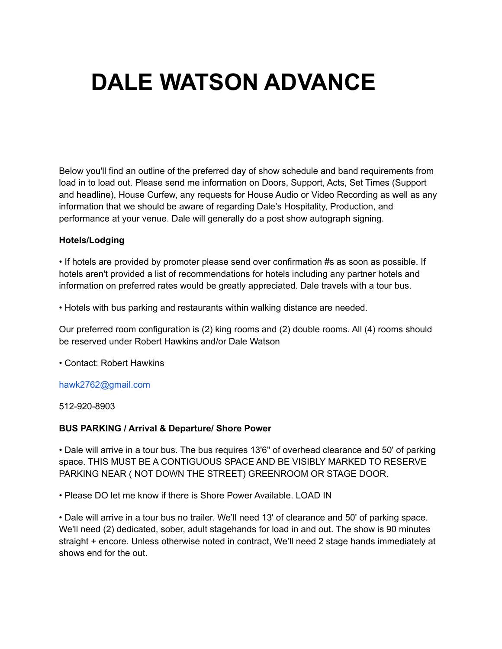# **DALE WATSON ADVANCE**

Below you'll find an outline of the preferred day of show schedule and band requirements from load in to load out. Please send me information on Doors, Support, Acts, Set Times (Support and headline), House Curfew, any requests for House Audio or Video Recording as well as any information that we should be aware of regarding Dale's Hospitality, Production, and performance at your venue. Dale will generally do a post show autograph signing.

#### **Hotels/Lodging**

• If hotels are provided by promoter please send over confirmation #s as soon as possible. If hotels aren't provided a list of recommendations for hotels including any partner hotels and information on preferred rates would be greatly appreciated. Dale travels with a tour bus.

• Hotels with bus parking and restaurants within walking distance are needed.

Our preferred room configuration is (2) king rooms and (2) double rooms. All (4) rooms should be reserved under Robert Hawkins and/or Dale Watson

• Contact: Robert Hawkins

#### hawk2762@gmail.com

512-920-8903

#### **BUS PARKING / Arrival & Departure/ Shore Power**

• Dale will arrive in a tour bus. The bus requires 13'6" of overhead clearance and 50' of parking space. THIS MUST BE A CONTIGUOUS SPACE AND BE VISIBLY MARKED TO RESERVE PARKING NEAR ( NOT DOWN THE STREET) GREENROOM OR STAGE DOOR.

• Please DO let me know if there is Shore Power Available. LOAD IN

• Dale will arrive in a tour bus no trailer. We'll need 13' of clearance and 50' of parking space. We'll need (2) dedicated, sober, adult stagehands for load in and out. The show is 90 minutes straight + encore. Unless otherwise noted in contract, We'll need 2 stage hands immediately at shows end for the out.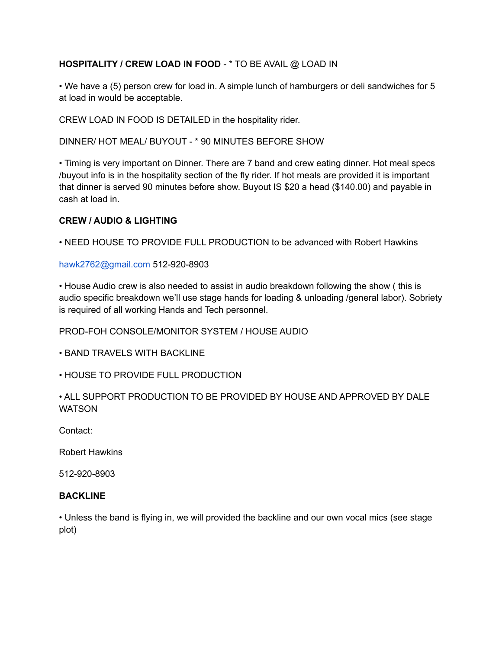# **HOSPITALITY / CREW LOAD IN FOOD** - \* TO BE AVAIL @ LOAD IN

• We have a (5) person crew for load in. A simple lunch of hamburgers or deli sandwiches for 5 at load in would be acceptable.

CREW LOAD IN FOOD IS DETAILED in the hospitality rider.

DINNER/ HOT MEAL/ BUYOUT - \* 90 MINUTES BEFORE SHOW

• Timing is very important on Dinner. There are 7 band and crew eating dinner. Hot meal specs /buyout info is in the hospitality section of the fly rider. If hot meals are provided it is important that dinner is served 90 minutes before show. Buyout IS \$20 a head (\$140.00) and payable in cash at load in.

#### **CREW / AUDIO & LIGHTING**

• NEED HOUSE TO PROVIDE FULL PRODUCTION to be advanced with Robert Hawkins

hawk2762@gmail.com 512-920-8903

• House Audio crew is also needed to assist in audio breakdown following the show ( this is audio specific breakdown we'll use stage hands for loading & unloading /general labor). Sobriety is required of all working Hands and Tech personnel.

PROD-FOH CONSOLE/MONITOR SYSTEM / HOUSE AUDIO

• BAND TRAVELS WITH BACKLINE

• HOUSE TO PROVIDE FULL PRODUCTION

• ALL SUPPORT PRODUCTION TO BE PROVIDED BY HOUSE AND APPROVED BY DALE **WATSON** 

Contact:

Robert Hawkins

512-920-8903

### **BACKLINE**

• Unless the band is flying in, we will provided the backline and our own vocal mics (see stage plot)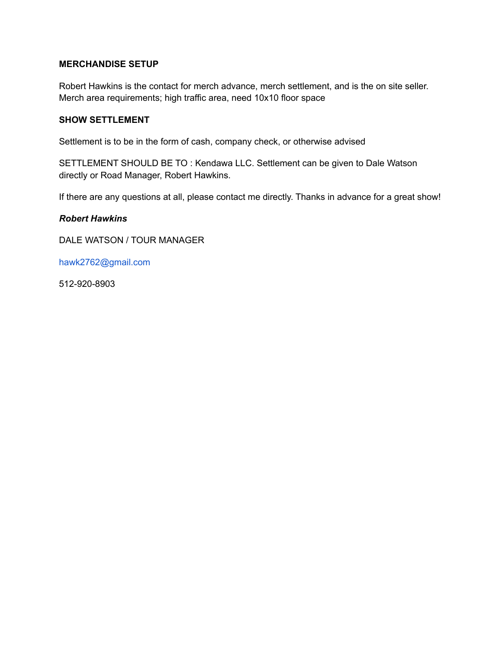#### **MERCHANDISE SETUP**

Robert Hawkins is the contact for merch advance, merch settlement, and is the on site seller. Merch area requirements; high traffic area, need 10x10 floor space

## **SHOW SETTLEMENT**

Settlement is to be in the form of cash, company check, or otherwise advised

SETTLEMENT SHOULD BE TO : Kendawa LLC. Settlement can be given to Dale Watson directly or Road Manager, Robert Hawkins.

If there are any questions at all, please contact me directly. Thanks in advance for a great show!

#### *Robert Hawkins*

DALE WATSON / TOUR MANAGER

hawk2762@gmail.com

512-920-8903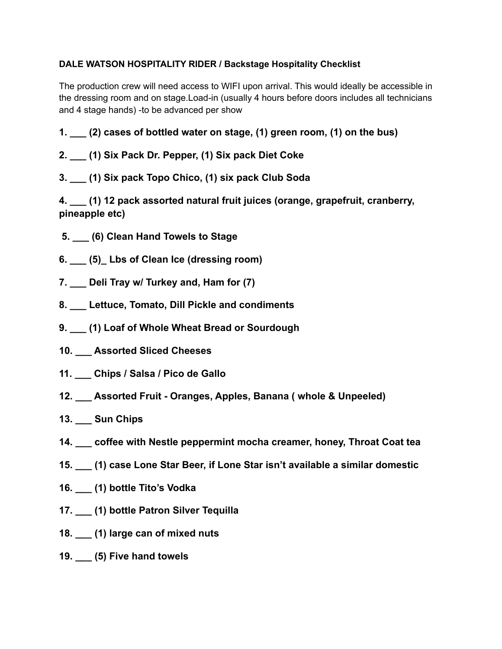# **DALE WATSON HOSPITALITY RIDER / Backstage Hospitality Checklist**

The production crew will need access to WIFI upon arrival. This would ideally be accessible in the dressing room and on stage.Load-in (usually 4 hours before doors includes all technicians and 4 stage hands) -to be advanced per show

**1. \_\_\_ (2) cases of bottled water on stage, (1) green room, (1) on the bus)**

# **2. \_\_\_ (1) Six Pack Dr. Pepper, (1) Six pack Diet Coke**

**3. \_\_\_ (1) Six pack Topo Chico, (1) six pack Club Soda**

**4. \_\_\_ (1) 12 pack assorted natural fruit juices (orange, grapefruit, cranberry, pineapple etc)**

- **5. \_\_\_ (6) Clean Hand Towels to Stage**
- **6. \_\_\_ (5)\_ Lbs of Clean Ice (dressing room)**
- **7. \_\_\_ Deli Tray w/ Turkey and, Ham for (7)**
- **8. \_\_\_ Lettuce, Tomato, Dill Pickle and condiments**
- **9. \_\_\_ (1) Loaf of Whole Wheat Bread or Sourdough**
- **10. \_\_\_ Assorted Sliced Cheeses**
- **11. \_\_\_ Chips / Salsa / Pico de Gallo**
- **12. \_\_\_ Assorted Fruit Oranges, Apples, Banana ( whole & Unpeeled)**
- **13. \_\_\_ Sun Chips**
- **14. \_\_\_ coffee with Nestle peppermint mocha creamer, honey, Throat Coat tea**
- **15. \_\_\_ (1) case Lone Star Beer, if Lone Star isn't available a similar domestic**
- **16. \_\_\_ (1) bottle Tito's Vodka**
- **17. \_\_\_ (1) bottle Patron Silver Tequilla**
- **18. \_\_\_ (1) large can of mixed nuts**
- **19. \_\_\_ (5) Five hand towels**